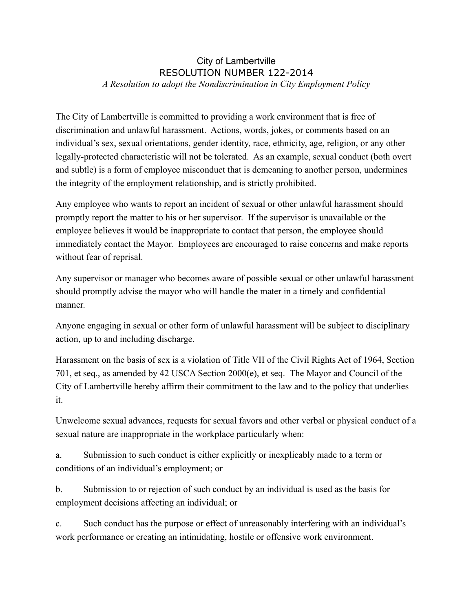## City of Lambertville RESOLUTION NUMBER 122-2014 *A Resolution to adopt the Nondiscrimination in City Employment Policy*

The City of Lambertville is committed to providing a work environment that is free of discrimination and unlawful harassment. Actions, words, jokes, or comments based on an individual's sex, sexual orientations, gender identity, race, ethnicity, age, religion, or any other legally-protected characteristic will not be tolerated. As an example, sexual conduct (both overt and subtle) is a form of employee misconduct that is demeaning to another person, undermines the integrity of the employment relationship, and is strictly prohibited.

Any employee who wants to report an incident of sexual or other unlawful harassment should promptly report the matter to his or her supervisor. If the supervisor is unavailable or the employee believes it would be inappropriate to contact that person, the employee should immediately contact the Mayor. Employees are encouraged to raise concerns and make reports without fear of reprisal.

Any supervisor or manager who becomes aware of possible sexual or other unlawful harassment should promptly advise the mayor who will handle the mater in a timely and confidential manner.

Anyone engaging in sexual or other form of unlawful harassment will be subject to disciplinary action, up to and including discharge.

Harassment on the basis of sex is a violation of Title VII of the Civil Rights Act of 1964, Section 701, et seq., as amended by 42 USCA Section 2000(e), et seq. The Mayor and Council of the City of Lambertville hereby affirm their commitment to the law and to the policy that underlies it.

Unwelcome sexual advances, requests for sexual favors and other verbal or physical conduct of a sexual nature are inappropriate in the workplace particularly when:

a. Submission to such conduct is either explicitly or inexplicably made to a term or conditions of an individual's employment; or

b. Submission to or rejection of such conduct by an individual is used as the basis for employment decisions affecting an individual; or

c. Such conduct has the purpose or effect of unreasonably interfering with an individual's work performance or creating an intimidating, hostile or offensive work environment.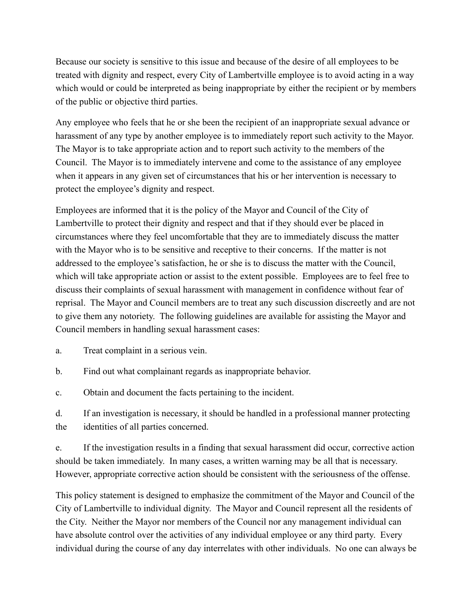Because our society is sensitive to this issue and because of the desire of all employees to be treated with dignity and respect, every City of Lambertville employee is to avoid acting in a way which would or could be interpreted as being inappropriate by either the recipient or by members of the public or objective third parties.

Any employee who feels that he or she been the recipient of an inappropriate sexual advance or harassment of any type by another employee is to immediately report such activity to the Mayor. The Mayor is to take appropriate action and to report such activity to the members of the Council. The Mayor is to immediately intervene and come to the assistance of any employee when it appears in any given set of circumstances that his or her intervention is necessary to protect the employee's dignity and respect.

Employees are informed that it is the policy of the Mayor and Council of the City of Lambertville to protect their dignity and respect and that if they should ever be placed in circumstances where they feel uncomfortable that they are to immediately discuss the matter with the Mayor who is to be sensitive and receptive to their concerns. If the matter is not addressed to the employee's satisfaction, he or she is to discuss the matter with the Council, which will take appropriate action or assist to the extent possible. Employees are to feel free to discuss their complaints of sexual harassment with management in confidence without fear of reprisal. The Mayor and Council members are to treat any such discussion discreetly and are not to give them any notoriety. The following guidelines are available for assisting the Mayor and Council members in handling sexual harassment cases:

- a. Treat complaint in a serious vein.
- b. Find out what complainant regards as inappropriate behavior.
- c. Obtain and document the facts pertaining to the incident.
- d. If an investigation is necessary, it should be handled in a professional manner protecting the identities of all parties concerned.

e. If the investigation results in a finding that sexual harassment did occur, corrective action should be taken immediately. In many cases, a written warning may be all that is necessary. However, appropriate corrective action should be consistent with the seriousness of the offense.

This policy statement is designed to emphasize the commitment of the Mayor and Council of the City of Lambertville to individual dignity. The Mayor and Council represent all the residents of the City. Neither the Mayor nor members of the Council nor any management individual can have absolute control over the activities of any individual employee or any third party. Every individual during the course of any day interrelates with other individuals. No one can always be